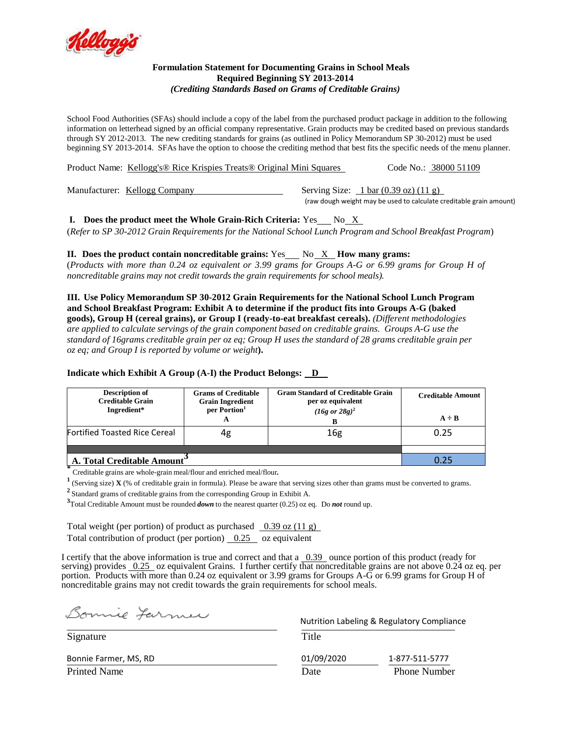

## **Formulation Statement for Documenting Grains in School Meals Required Beginning SY 2013-2014** *(Crediting Standards Based on Grams of Creditable Grains)*

School Food Authorities (SFAs) should include a copy of the label from the purchased product package in addition to the following information on letterhead signed by an official company representative. Grain products may be credited based on previous standards through SY 2012-2013. The new crediting standards for grains (as outlined in Policy Memorandum SP 30-2012) must be used beginning SY 2013-2014. SFAs have the option to choose the crediting method that best fits the specific needs of the menu planner.

Product Name: Kellogg's® Rice Krispies Treats® Original Mini Squares Code No.: 38000 51109

Manufacturer: Kellogg Company Serving Size: 1 bar (0.39 oz) (11 g)

(raw dough weight may be used to calculate creditable grain amount)

**I.** Does the product meet the Whole Grain-Rich Criteria: Yes No X

(*Refer to SP 30-2012 Grain Requirements for the National School Lunch Program and School Breakfast Program*)

**II.** Does the product contain noncreditable grains:  $Yes$  No  $X$  How many grams:

(Products with more than 0.24 oz equivalent or 3.99 grams for Groups A-G or 6.99 grams for Group H of *noncreditable grains may not credit towards the grain requirements for school meals).*

**III. Use Policy Memorandum SP 30-2012 Grain Requirements for the National School Lunch Program and School Breakfast Program: Exhibit A to determine if the product fits into Groups A-G (baked goods), Group H (cereal grains), or Group I (ready-to-eat breakfast cereals).** *(Different methodologies are applied to calculate servings of the grain component based on creditable grains. Groups A-G use the* standard of 16grams creditable grain per oz eq; Group H uses the standard of 28 grams creditable grain per *oz eq; and Group I is reported by volume or weight***).**

## **Indicate which Exhibit A Group (A-I) the Product Belongs: D**

| <b>Description of</b><br><b>Creditable Grain</b><br>Ingredient* | <b>Grams of Creditable</b><br><b>Grain Ingredient</b><br>per Portion <sup>1</sup><br>A | <b>Gram Standard of Creditable Grain</b><br>per oz equivalent<br>$(16g \text{ or } 28g)^2$ | <b>Creditable Amount</b><br>$A \div B$ |  |
|-----------------------------------------------------------------|----------------------------------------------------------------------------------------|--------------------------------------------------------------------------------------------|----------------------------------------|--|
| <b>Fortified Toasted Rice Cereal</b>                            | 4g                                                                                     | 16g                                                                                        | 0.25                                   |  |
|                                                                 |                                                                                        |                                                                                            |                                        |  |
| A. Total Creditable Amount                                      | 0.25                                                                                   |                                                                                            |                                        |  |

**\*** Creditable grains are whole-grain meal/flour and enriched meal/flour*.*

**1** (Serving size) **X** (% of creditable grain in formula). Please be aware that serving sizes other than grams must be converted to grams.

**<sup>2</sup>**Standard grams of creditable grains from the corresponding Group in Exhibit A.

**3** Total Creditable Amount must be rounded *down* to the nearest quarter (0.25) oz eq. Do *not* round up.

Total weight (per portion) of product as purchased  $\frac{0.39 \text{ oz } (11 \text{ g})}{2}$ Total contribution of product (per portion) 0.25 oz equivalent

I certify that the above information is true and correct and that a 0.39 ounce portion of this product (ready for serving) provides 0.25 oz equivalent Grains. I further certify that noncreditable grains are not above 0.24 oz eq. per portion. Products with more than 0.24 oz equivalent or 3.99 grams for Groups A-G or 6.99 grams for Group H of noncreditable grains may not credit towards the grain requirements for school meals.

Bonnie Farmer

 Nutrition Labeling & Regulatory Compliance Signature Title Bonnie Farmer, MS, RD 01/09/2020 1-877-511-5777 Printed Name **Prince Access** Phone Number **Date** Phone Number